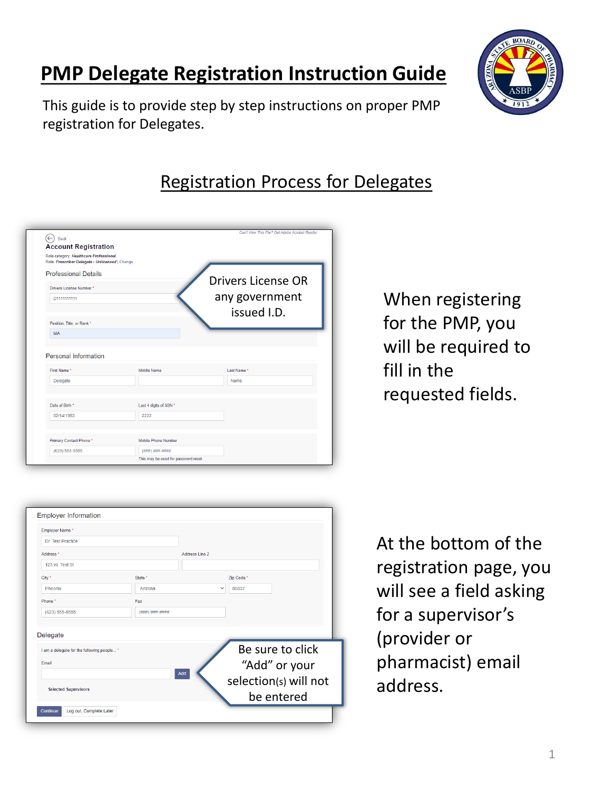## **PMP Delegate Registration Instruction Guide**

This guide is to provide step by step instructions on proper PMP registration for Delegates.

| Position, Title, or Rank *<br>MA     |                        | issued I.D. |
|--------------------------------------|------------------------|-------------|
| Personal Information<br>First Name * | Middle Name            | Last Name*  |
| Delegate                             |                        | Name        |
|                                      | Last 4 digits of SSN * |             |
| Date of Birth *                      |                        |             |

## Registration Process for Delegates

When registering for the PMP, you will be required to fill in the requested fields.

| <b>Employer Information</b>                |                  |              |                       |  |
|--------------------------------------------|------------------|--------------|-----------------------|--|
| Employer Name*                             |                  |              |                       |  |
| Dr. Test Practice                          |                  |              |                       |  |
| Address <sup>*</sup>                       |                  |              | Address Line 2        |  |
| 123 W. Test St.                            |                  |              |                       |  |
| City <sup>*</sup>                          | State *          |              | Zip Code *            |  |
| Pheonix                                    | Arizona          | $\checkmark$ | 85037                 |  |
| Phone *                                    | Fax              |              |                       |  |
| (623) 555-5555                             | $(HHH)$ ###-#### |              |                       |  |
| Delegate                                   |                  |              |                       |  |
| I am a delegate for the following people * |                  |              | Be sure to click      |  |
| Fmail                                      |                  |              | "Add" or your         |  |
|                                            |                  | Add          |                       |  |
| <b>Selected Supervisors</b>                |                  |              | selection(s) will not |  |
|                                            |                  |              | be entered            |  |
| Log out, Complete Later<br>Continue        |                  |              |                       |  |

At the bottom of the registration page, you will see a field asking for a supervisor's (provider or pharmacist) email address.

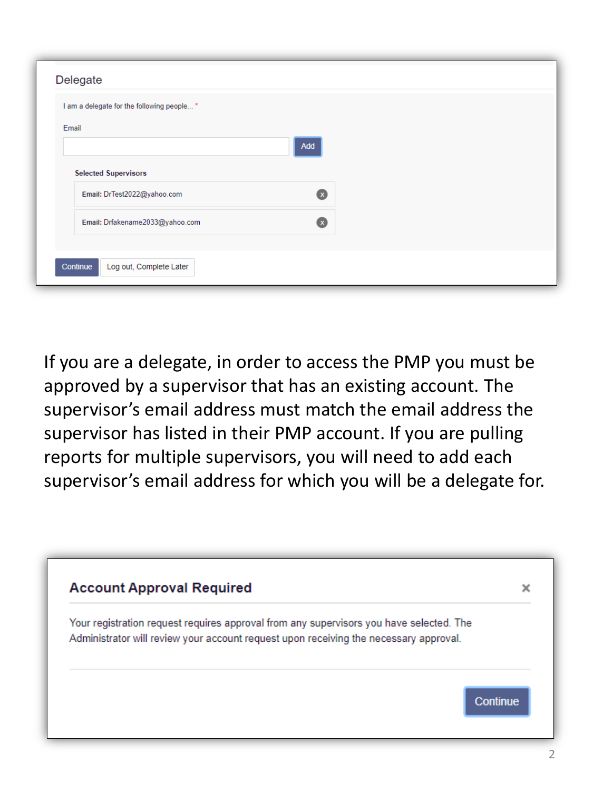| Delegate<br>I am a delegate for the following people * |              |
|--------------------------------------------------------|--------------|
| Email                                                  |              |
|                                                        | Add          |
| <b>Selected Supervisors</b>                            |              |
| Email: DrTest2022@yahoo.com                            | $\mathbf{x}$ |
| Email: Drfakename2033@yahoo.com                        | $\mathbf{x}$ |
|                                                        |              |
| Log out, Complete Later<br>Continue                    |              |

If you are a delegate, in order to access the PMP you must be approved by a supervisor that has an existing account. The supervisor's email address must match the email address the supervisor has listed in their PMP account. If you are pulling reports for multiple supervisors, you will need to add each supervisor's email address for which you will be a delegate for.

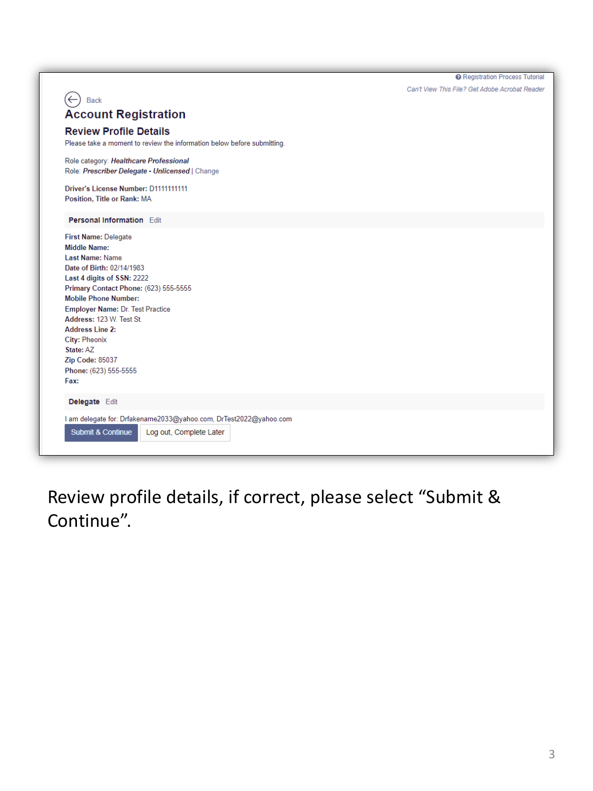| <b>O</b> Registration Process Tutorial         |
|------------------------------------------------|
| Can't View This File? Get Adobe Acrobat Reader |
|                                                |

| $\leftarrow$<br><b>Back</b><br><b>Account Registration</b><br><b>Review Profile Details</b><br>Please take a moment to review the information below before submitting.<br>Role category: Healthcare Professional<br>Role: Prescriber Delegate - Unlicensed   Change<br>Driver's License Number: D1111111111<br>Position, Title or Rank: MA<br>Personal Information Fdit<br><b>First Name: Delegate</b><br><b>Middle Name:</b><br><b>Last Name: Name</b><br>Date of Birth: 02/14/1983<br>Last 4 digits of SSN: 2222<br>Primary Contact Phone: (623) 555-5555<br><b>Mobile Phone Number:</b><br><b>Employer Name: Dr. Test Practice</b><br>Address: 123 W. Test St.<br><b>Address Line 2:</b><br>City: Pheonix<br>State: AZ<br>Zip Code: 85037<br>Phone: (623) 555-5555<br>Fax:<br>Delegate Edit<br>I am delegate for: Drfakename2033@yahoo.com, DrTest2022@yahoo.com |  |
|---------------------------------------------------------------------------------------------------------------------------------------------------------------------------------------------------------------------------------------------------------------------------------------------------------------------------------------------------------------------------------------------------------------------------------------------------------------------------------------------------------------------------------------------------------------------------------------------------------------------------------------------------------------------------------------------------------------------------------------------------------------------------------------------------------------------------------------------------------------------|--|
|                                                                                                                                                                                                                                                                                                                                                                                                                                                                                                                                                                                                                                                                                                                                                                                                                                                                     |  |
|                                                                                                                                                                                                                                                                                                                                                                                                                                                                                                                                                                                                                                                                                                                                                                                                                                                                     |  |
|                                                                                                                                                                                                                                                                                                                                                                                                                                                                                                                                                                                                                                                                                                                                                                                                                                                                     |  |
|                                                                                                                                                                                                                                                                                                                                                                                                                                                                                                                                                                                                                                                                                                                                                                                                                                                                     |  |
|                                                                                                                                                                                                                                                                                                                                                                                                                                                                                                                                                                                                                                                                                                                                                                                                                                                                     |  |
|                                                                                                                                                                                                                                                                                                                                                                                                                                                                                                                                                                                                                                                                                                                                                                                                                                                                     |  |
|                                                                                                                                                                                                                                                                                                                                                                                                                                                                                                                                                                                                                                                                                                                                                                                                                                                                     |  |
|                                                                                                                                                                                                                                                                                                                                                                                                                                                                                                                                                                                                                                                                                                                                                                                                                                                                     |  |
|                                                                                                                                                                                                                                                                                                                                                                                                                                                                                                                                                                                                                                                                                                                                                                                                                                                                     |  |
|                                                                                                                                                                                                                                                                                                                                                                                                                                                                                                                                                                                                                                                                                                                                                                                                                                                                     |  |
|                                                                                                                                                                                                                                                                                                                                                                                                                                                                                                                                                                                                                                                                                                                                                                                                                                                                     |  |
|                                                                                                                                                                                                                                                                                                                                                                                                                                                                                                                                                                                                                                                                                                                                                                                                                                                                     |  |
|                                                                                                                                                                                                                                                                                                                                                                                                                                                                                                                                                                                                                                                                                                                                                                                                                                                                     |  |
|                                                                                                                                                                                                                                                                                                                                                                                                                                                                                                                                                                                                                                                                                                                                                                                                                                                                     |  |
|                                                                                                                                                                                                                                                                                                                                                                                                                                                                                                                                                                                                                                                                                                                                                                                                                                                                     |  |
|                                                                                                                                                                                                                                                                                                                                                                                                                                                                                                                                                                                                                                                                                                                                                                                                                                                                     |  |
|                                                                                                                                                                                                                                                                                                                                                                                                                                                                                                                                                                                                                                                                                                                                                                                                                                                                     |  |
|                                                                                                                                                                                                                                                                                                                                                                                                                                                                                                                                                                                                                                                                                                                                                                                                                                                                     |  |
|                                                                                                                                                                                                                                                                                                                                                                                                                                                                                                                                                                                                                                                                                                                                                                                                                                                                     |  |
|                                                                                                                                                                                                                                                                                                                                                                                                                                                                                                                                                                                                                                                                                                                                                                                                                                                                     |  |
|                                                                                                                                                                                                                                                                                                                                                                                                                                                                                                                                                                                                                                                                                                                                                                                                                                                                     |  |
|                                                                                                                                                                                                                                                                                                                                                                                                                                                                                                                                                                                                                                                                                                                                                                                                                                                                     |  |
|                                                                                                                                                                                                                                                                                                                                                                                                                                                                                                                                                                                                                                                                                                                                                                                                                                                                     |  |
|                                                                                                                                                                                                                                                                                                                                                                                                                                                                                                                                                                                                                                                                                                                                                                                                                                                                     |  |
|                                                                                                                                                                                                                                                                                                                                                                                                                                                                                                                                                                                                                                                                                                                                                                                                                                                                     |  |
|                                                                                                                                                                                                                                                                                                                                                                                                                                                                                                                                                                                                                                                                                                                                                                                                                                                                     |  |
| <b>Submit &amp; Continue</b><br>Log out, Complete Later                                                                                                                                                                                                                                                                                                                                                                                                                                                                                                                                                                                                                                                                                                                                                                                                             |  |

Review profile details, if correct, please select "Submit & Continue".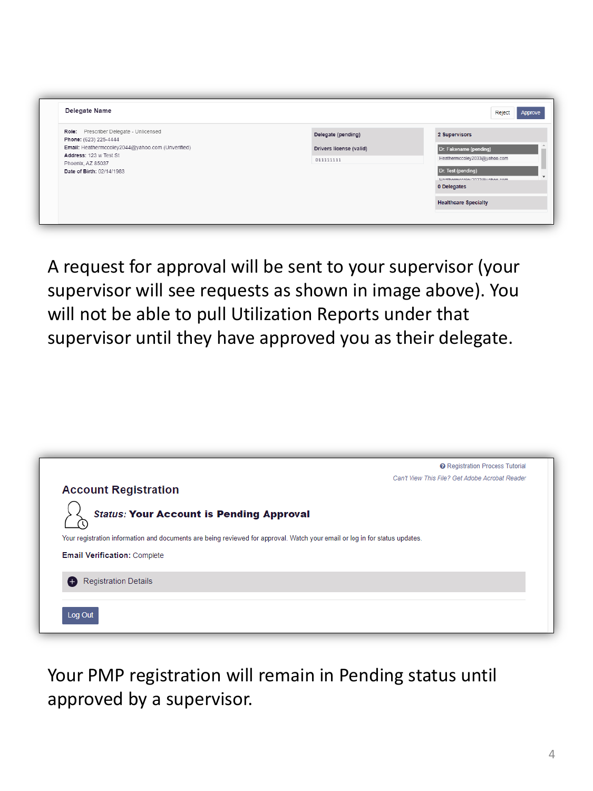|                         | Reject<br>Approve                           |
|-------------------------|---------------------------------------------|
| Delegate (pending)      | 2 Supervisors                               |
| Drivers license (valid) | Dr. Fakename (pending)                      |
| D11111111               | Heathermccoley2033@yahoo.com                |
|                         | Dr. Test (pending)                          |
|                         | Heatharmccolou2022@ughoo.com<br>0 Delegates |
|                         |                                             |

A request for approval will be sent to your supervisor (your supervisor will see requests as shown in image above). You will not be able to pull Utilization Reports under that supervisor until they have approved you as their delegate.



Your PMP registration will remain in Pending status until approved by a supervisor.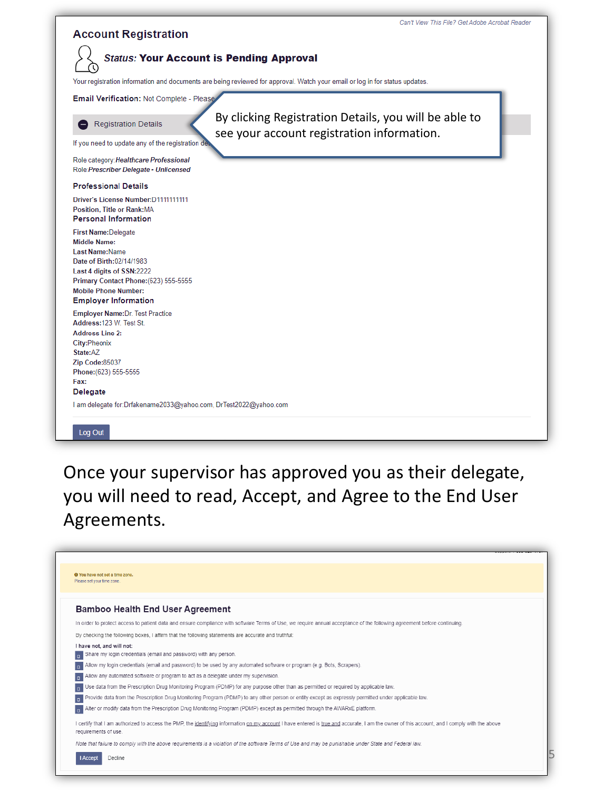| Can't View This File? Get Adobe Acrobat Reader<br><b>Account Registration</b>                                                                                                                                                                                        |  |
|----------------------------------------------------------------------------------------------------------------------------------------------------------------------------------------------------------------------------------------------------------------------|--|
| <b>Status: Your Account is Pending Approval</b>                                                                                                                                                                                                                      |  |
| Your registration information and documents are being reviewed for approval. Watch your email or log in for status updates.                                                                                                                                          |  |
| Email Verification: Not Complete - Please                                                                                                                                                                                                                            |  |
| By clicking Registration Details, you will be able to<br><b>Registration Details</b><br>see your account registration information.                                                                                                                                   |  |
| If you need to update any of the registration de-                                                                                                                                                                                                                    |  |
| Role category: Healthcare Professional<br>Role: Prescriber Delegate - Unlicensed                                                                                                                                                                                     |  |
| <b>Professional Details</b>                                                                                                                                                                                                                                          |  |
| Driver's License Number: D1111111111<br>Position. Title or Rank: MA<br><b>Personal Information</b>                                                                                                                                                                   |  |
| <b>First Name:Delegate</b><br><b>Middle Name:</b><br><b>Last Name:Name</b><br>Date of Birth:02/14/1983<br>Last 4 digits of SSN:2222<br>Primary Contact Phone: (623) 555-5555<br><b>Mobile Phone Number:</b><br><b>Employer Information</b>                           |  |
| <b>Employer Name: Dr. Test Practice</b><br>Address: 123 W. Test St.<br><b>Address Line 2:</b><br>City: Pheonix<br>State:AZ<br>Zip Code:85037<br>Phone: (623) 555-5555<br>Fax:<br><b>Delegate</b><br>I am delegate for:Drfakename2033@yahoo.com, DrTest2022@yahoo.com |  |
| Log Out                                                                                                                                                                                                                                                              |  |

Once your supervisor has approved you as their delegate, you will need to read, Accept, and Agree to the End User Agreements.

|                           | <b>Bamboo Health End User Agreement</b>                                                                                                                                                      |
|---------------------------|----------------------------------------------------------------------------------------------------------------------------------------------------------------------------------------------|
|                           | In order to protect access to patient data and ensure compliance with software Terms of Use, we require annual acceptance of the following agreement before continuing.                      |
|                           | By checking the following boxes, I affirm that the following statements are accurate and truthful:                                                                                           |
| I have not, and will not: |                                                                                                                                                                                              |
| o.                        | Share my login credentials (email and password) with any person.                                                                                                                             |
|                           | Allow my login credentials (email and password) to be used by any automated software or program (e.g. Bots, Scrapers).                                                                       |
| $\Box$                    | Allow any automated software or program to act as a delegate under my supervision.                                                                                                           |
| $\Box$                    | Use data from the Prescription Drug Monitoring Program (PDMP) for any purpose other than as permitted or required by applicable law.                                                         |
| $\Box$                    | Provide data from the Prescription Drug Monitoring Program (PDMP) to any other person or entity except as expressly permitted under applicable law.                                          |
| $\Box$                    | Alter or modify data from the Prescription Drug Monitoring Program (PDMP) except as permitted through the AWARxE platform.                                                                   |
| requirements of use.      | I certify that I am authorized to access the PMP, the identifying information on my account I have entered is true and accurate, I am the owner of this account, and I comply with the above |
|                           | Note that failure to comply with the above requirements is a violation of the software Terms of Use and may be punishable under State and Federal law.                                       |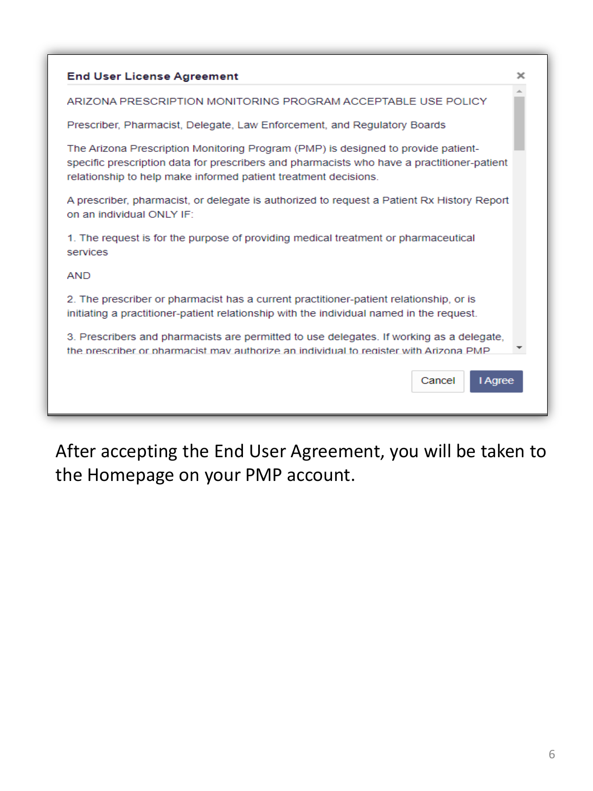| <b>End User License Agreement</b>                                                                                                                                                                                                                  |
|----------------------------------------------------------------------------------------------------------------------------------------------------------------------------------------------------------------------------------------------------|
| ARIZONA PRESCRIPTION MONITORING PROGRAM ACCEPTABLE USE POLICY                                                                                                                                                                                      |
| Prescriber, Pharmacist, Delegate, Law Enforcement, and Regulatory Boards                                                                                                                                                                           |
| The Arizona Prescription Monitoring Program (PMP) is designed to provide patient-<br>specific prescription data for prescribers and pharmacists who have a practitioner-patient<br>relationship to help make informed patient treatment decisions. |
| A prescriber, pharmacist, or delegate is authorized to request a Patient Rx History Report<br>on an individual ONLY IF:                                                                                                                            |
| 1. The request is for the purpose of providing medical treatment or pharmaceutical<br>services                                                                                                                                                     |
| <b>AND</b>                                                                                                                                                                                                                                         |
| 2. The prescriber or pharmacist has a current practitioner-patient relationship, or is<br>initiating a practitioner-patient relationship with the individual named in the request.                                                                 |
| 3. Prescribers and pharmacists are permitted to use delegates. If working as a delegate,<br>the prescriber or pharmacist may authorize an individual to register with Arizona PMP                                                                  |
| Cancel<br>I Agree                                                                                                                                                                                                                                  |

After accepting the End User Agreement, you will be taken to the Homepage on your PMP account.